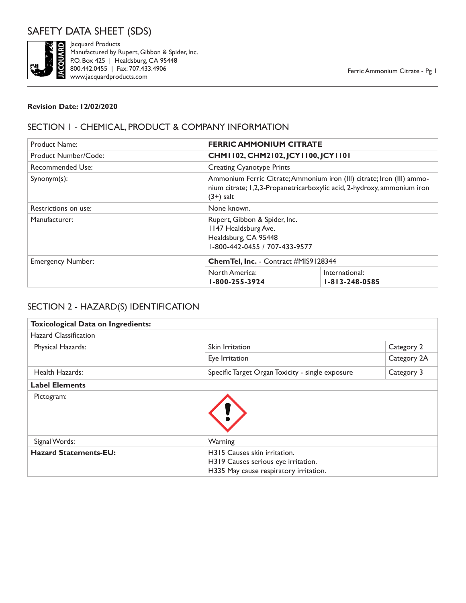

Examples and Products<br>Manufactured by R<br>P.O. Box 425 | He<br>800.442.0455 | Fa<br>Www.jacquardprod Manufactured by Rupert, Gibbon & Spider, Inc. P.O. Box 425 | Healdsburg, CA 95448 800.442.0455 | Fax: 707.433.4906 www.jacquardproducts.com

### **Revision Date: 12/02/2020**

### SECTION 1 - CHEMICAL, PRODUCT & COMPANY INFORMATION

| <b>Product Name:</b>     | <b>FERRIC AMMONIUM CITRATE</b>                                                                                                                                   |                                          |
|--------------------------|------------------------------------------------------------------------------------------------------------------------------------------------------------------|------------------------------------------|
| Product Number/Code:     | CHM1102, CHM2102, JCY1100, JCY1101                                                                                                                               |                                          |
| Recommended Use:         | <b>Creating Cyanotype Prints</b>                                                                                                                                 |                                          |
| $Synonym(s)$ :           | Ammonium Ferric Citrate; Ammonium iron (III) citrate; Iron (III) ammo-<br>nium citrate; 1,2,3-Propanetricarboxylic acid, 2-hydroxy, ammonium iron<br>$(3+)$ salt |                                          |
| Restrictions on use:     | None known.                                                                                                                                                      |                                          |
| Manufacturer:            | Rupert, Gibbon & Spider, Inc.<br>1147 Healdsburg Ave.<br>Healdsburg, CA 95448<br>1-800-442-0455 / 707-433-9577                                                   |                                          |
| <b>Emergency Number:</b> | Chem Tel, Inc. - Contract #MIS9128344                                                                                                                            |                                          |
|                          | North America:<br>1-800-255-3924                                                                                                                                 | International:<br>$1 - 813 - 248 - 0585$ |

# SECTION 2 - HAZARD(S) IDENTIFICATION

| <b>Toxicological Data on Ingredients:</b> |                                                                                                               |             |
|-------------------------------------------|---------------------------------------------------------------------------------------------------------------|-------------|
| <b>Hazard Classification</b>              |                                                                                                               |             |
| Physical Hazards:                         | Skin Irritation                                                                                               | Category 2  |
|                                           | Eye Irritation                                                                                                | Category 2A |
| Health Hazards:                           | Specific Target Organ Toxicity - single exposure                                                              | Category 3  |
| <b>Label Elements</b>                     |                                                                                                               |             |
| Pictogram:                                |                                                                                                               |             |
| Signal Words:                             | Warning                                                                                                       |             |
| <b>Hazard Statements-EU:</b>              | H315 Causes skin irritation.<br>H319 Causes serious eye irritation.<br>H335 May cause respiratory irritation. |             |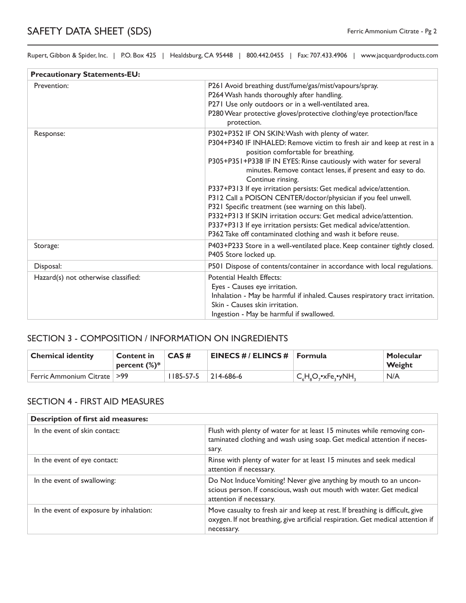| <b>Precautionary Statements-EU:</b> |                                                                                                                                                                                                                                                                                                                                                                                                                                                                                                                                                                                                                                                                                                                                           |  |
|-------------------------------------|-------------------------------------------------------------------------------------------------------------------------------------------------------------------------------------------------------------------------------------------------------------------------------------------------------------------------------------------------------------------------------------------------------------------------------------------------------------------------------------------------------------------------------------------------------------------------------------------------------------------------------------------------------------------------------------------------------------------------------------------|--|
| Prevention:                         | P261 Avoid breathing dust/fume/gas/mist/vapours/spray.<br>P264 Wash hands thoroughly after handling.<br>P271 Use only outdoors or in a well-ventilated area.<br>P280 Wear protective gloves/protective clothing/eye protection/face<br>protection.                                                                                                                                                                                                                                                                                                                                                                                                                                                                                        |  |
| Response:                           | P302+P352 IF ON SKIN: Wash with plenty of water.<br>P304+P340 IF INHALED: Remove victim to fresh air and keep at rest in a<br>position comfortable for breathing.<br>P305+P351+P338 IF IN EYES: Rinse cautiously with water for several<br>minutes. Remove contact lenses, if present and easy to do.<br>Continue rinsing.<br>P337+P313 If eye irritation persists: Get medical advice/attention.<br>P312 Call a POISON CENTER/doctor/physician if you feel unwell.<br>P321 Specific treatment (see warning on this label).<br>P332+P313 If SKIN irritation occurs: Get medical advice/attention.<br>P337+P313 If eye irritation persists: Get medical advice/attention.<br>P362 Take off contaminated clothing and wash it before reuse. |  |
| Storage:                            | P403+P233 Store in a well-ventilated place. Keep container tightly closed.<br>P405 Store locked up.                                                                                                                                                                                                                                                                                                                                                                                                                                                                                                                                                                                                                                       |  |
| Disposal:                           | P501 Dispose of contents/container in accordance with local regulations.                                                                                                                                                                                                                                                                                                                                                                                                                                                                                                                                                                                                                                                                  |  |
| Hazard(s) not otherwise classified: | <b>Potential Health Effects:</b><br>Eyes - Causes eye irritation.<br>Inhalation - May be harmful if inhaled. Causes respiratory tract irritation.<br>Skin - Causes skin irritation.<br>Ingestion - May be harmful if swallowed.                                                                                                                                                                                                                                                                                                                                                                                                                                                                                                           |  |

### SECTION 3 - COMPOSITION / INFORMATION ON INGREDIENTS

| <b>Chemical identity</b>      | <b>Content in</b><br>percent $(\%)^*$ | CAS#            | <b>EINECS #/ ELINCS #   Formula</b> |                                                                          | Molecular<br>Weight |
|-------------------------------|---------------------------------------|-----------------|-------------------------------------|--------------------------------------------------------------------------|---------------------|
| Ferric Ammonium Citrate   >99 |                                       | $1185 - 57 - 5$ | 214-686-6                           | $\mathsf{C}_c\mathsf{H}_s\mathsf{O}_r$ •xFe $_{\bullet}$ •yNH $_{\circ}$ | N/A                 |

### SECTION 4 - FIRST AID MEASURES

| <b>Description of first aid measures:</b> |                                                                                                                                                                               |
|-------------------------------------------|-------------------------------------------------------------------------------------------------------------------------------------------------------------------------------|
| In the event of skin contact:             | Flush with plenty of water for at least 15 minutes while removing con-<br>taminated clothing and wash using soap. Get medical attention if neces-<br>sary.                    |
| In the event of eye contact:              | Rinse with plenty of water for at least 15 minutes and seek medical<br>attention if necessary.                                                                                |
| In the event of swallowing:               | Do Not Induce Vomiting! Never give anything by mouth to an uncon-<br>scious person. If conscious, wash out mouth with water. Get medical<br>attention if necessary.           |
| In the event of exposure by inhalation:   | Move casualty to fresh air and keep at rest. If breathing is difficult, give<br>oxygen. If not breathing, give artificial respiration. Get medical attention if<br>necessary. |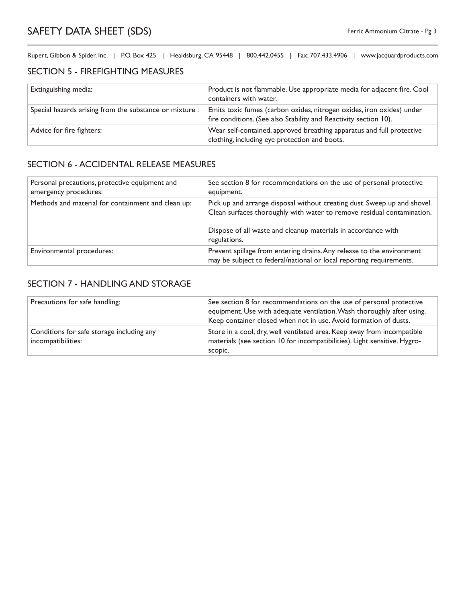### SECTION 5 - FIREFIGHTING MEASURES

| Extinguishing media:                                    | Product is not flammable. Use appropriate media for adjacent fire. Cool<br>containers with water.                                         |
|---------------------------------------------------------|-------------------------------------------------------------------------------------------------------------------------------------------|
| Special hazards arising from the substance or mixture : | Emits toxic fumes (carbon oxides, nitrogen oxides, iron oxides) under<br>fire conditions. (See also Stability and Reactivity section 10). |
| Advice for fire fighters:                               | Wear self-contained, approved breathing apparatus and full protective<br>clothing, including eye protection and boots.                    |

### SECTION 6 - ACCIDENTAL RELEASE MEASURES

| Personal precautions, protective equipment and<br>emergency procedures: | See section 8 for recommendations on the use of personal protective<br>equipment.                                                                                                                                                   |
|-------------------------------------------------------------------------|-------------------------------------------------------------------------------------------------------------------------------------------------------------------------------------------------------------------------------------|
| Methods and material for containment and clean up:                      | Pick up and arrange disposal without creating dust. Sweep up and shovel.<br>Clean surfaces thoroughly with water to remove residual contamination.<br>Dispose of all waste and cleanup materials in accordance with<br>regulations. |
| Environmental procedures:                                               | Prevent spillage from entering drains. Any release to the environment<br>may be subject to federal/national or local reporting requirements.                                                                                        |

### SECTION 7 - HANDLING AND STORAGE

| Precautions for safe handling:                                  | See section 8 for recommendations on the use of personal protective<br>equipment. Use with adequate ventilation. Wash thoroughly after using.<br>Keep container closed when not in use. Avoid formation of dusts. |
|-----------------------------------------------------------------|-------------------------------------------------------------------------------------------------------------------------------------------------------------------------------------------------------------------|
| Conditions for safe storage including any<br>incompatibilities: | Store in a cool, dry, well ventilated area. Keep away from incompatible<br>materials (see section 10 for incompatibilities). Light sensitive. Hygro-<br>scopic.                                                   |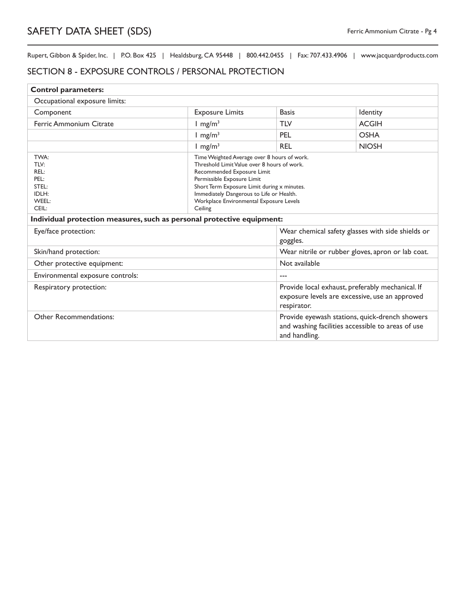### SECTION 8 - EXPOSURE CONTROLS / PERSONAL PROTECTION

| <b>Control parameters:</b>                                             |                                                                                                                                                                                                                                                                                                         |                                                                                                                      |                                                   |
|------------------------------------------------------------------------|---------------------------------------------------------------------------------------------------------------------------------------------------------------------------------------------------------------------------------------------------------------------------------------------------------|----------------------------------------------------------------------------------------------------------------------|---------------------------------------------------|
| Occupational exposure limits:                                          |                                                                                                                                                                                                                                                                                                         |                                                                                                                      |                                                   |
| Component                                                              | <b>Exposure Limits</b>                                                                                                                                                                                                                                                                                  | <b>Basis</b>                                                                                                         | Identity                                          |
| Ferric Ammonium Citrate                                                | $1 \text{ mg/m}^3$                                                                                                                                                                                                                                                                                      | <b>TLV</b>                                                                                                           | <b>ACGIH</b>                                      |
|                                                                        | $1 \text{ mg/m}^3$                                                                                                                                                                                                                                                                                      | PEL                                                                                                                  | <b>OSHA</b>                                       |
|                                                                        | $1$ mg/m <sup>3</sup>                                                                                                                                                                                                                                                                                   | <b>REL</b>                                                                                                           | <b>NIOSH</b>                                      |
| TWA:<br>TLV:<br>REL:<br>PEL:<br>STEL:<br>IDLH:<br>WEEL:<br>CEIL:       | Time Weighted Average over 8 hours of work.<br>Threshold Limit Value over 8 hours of work.<br>Recommended Exposure Limit<br>Permissible Exposure Limit<br>Short Term Exposure Limit during x minutes.<br>Immediately Dangerous to Life or Health.<br>Workplace Environmental Exposure Levels<br>Ceiling |                                                                                                                      |                                                   |
| Individual protection measures, such as personal protective equipment: |                                                                                                                                                                                                                                                                                                         |                                                                                                                      |                                                   |
| Eye/face protection:                                                   |                                                                                                                                                                                                                                                                                                         | goggles.                                                                                                             | Wear chemical safety glasses with side shields or |
| Skin/hand protection:                                                  |                                                                                                                                                                                                                                                                                                         | Wear nitrile or rubber gloves, apron or lab coat.                                                                    |                                                   |
| Other protective equipment:                                            |                                                                                                                                                                                                                                                                                                         | Not available                                                                                                        |                                                   |
| Environmental exposure controls:                                       |                                                                                                                                                                                                                                                                                                         | $---$                                                                                                                |                                                   |
| Respiratory protection:                                                |                                                                                                                                                                                                                                                                                                         | Provide local exhaust, preferably mechanical. If<br>exposure levels are excessive, use an approved<br>respirator.    |                                                   |
| <b>Other Recommendations:</b>                                          |                                                                                                                                                                                                                                                                                                         | Provide eyewash stations, quick-drench showers<br>and washing facilities accessible to areas of use<br>and handling. |                                                   |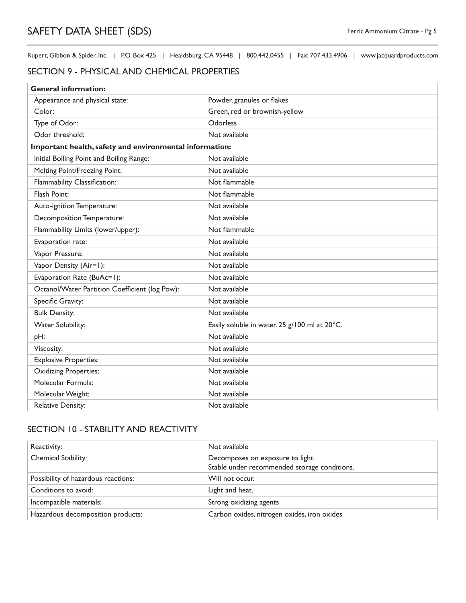### SECTION 9 - PHYSICAL AND CHEMICAL PROPERTIES

| <b>General information:</b>                             |                                               |
|---------------------------------------------------------|-----------------------------------------------|
| Appearance and physical state:                          | Powder, granules or flakes                    |
| Color:                                                  | Green, red or brownish-yellow                 |
| Type of Odor:                                           | Odorless                                      |
| Odor threshold:                                         | Not available                                 |
| Important health, safety and environmental information: |                                               |
| Initial Boiling Point and Boiling Range:                | Not available                                 |
| Melting Point/Freezing Point:                           | Not available                                 |
| Flammability Classification:                            | Not flammable                                 |
| Flash Point:                                            | Not flammable                                 |
| Auto-ignition Temperature:                              | Not available                                 |
| Decomposition Temperature:                              | Not available                                 |
| Flammability Limits (lower/upper):                      | Not flammable                                 |
| Evaporation rate:                                       | Not available                                 |
| Vapor Pressure:                                         | Not available                                 |
| Vapor Density (Air=1):                                  | Not available                                 |
| Evaporation Rate (BuAc=1):                              | Not available                                 |
| Octanol/Water Partition Coefficient (log Pow):          | Not available                                 |
| Specific Gravity:                                       | Not available                                 |
| <b>Bulk Density:</b>                                    | Not available                                 |
| <b>Water Solubility:</b>                                | Easily soluble in water. 25 g/100 ml at 20°C. |
| pH:                                                     | Not available                                 |
| Viscosity:                                              | Not available                                 |
| <b>Explosive Properties:</b>                            | Not available                                 |
| <b>Oxidizing Properties:</b>                            | Not available                                 |
| Molecular Formula:                                      | Not available                                 |
| Molecular Weight:                                       | Not available                                 |
| <b>Relative Density:</b>                                | Not available                                 |

### SECTION 10 - STABILITY AND REACTIVITY

| Reactivity:                         | Not available                                                                    |
|-------------------------------------|----------------------------------------------------------------------------------|
| Chemical Stability:                 | Decomposes on exposure to light.<br>Stable under recommended storage conditions. |
| Possibility of hazardous reactions: | Will not occur.                                                                  |
| Conditions to avoid:                | Light and heat.                                                                  |
| Incompatible materials:             | Strong oxidizing agents                                                          |
| Hazardous decomposition products:   | Carbon oxides, nitrogen oxides, iron oxides                                      |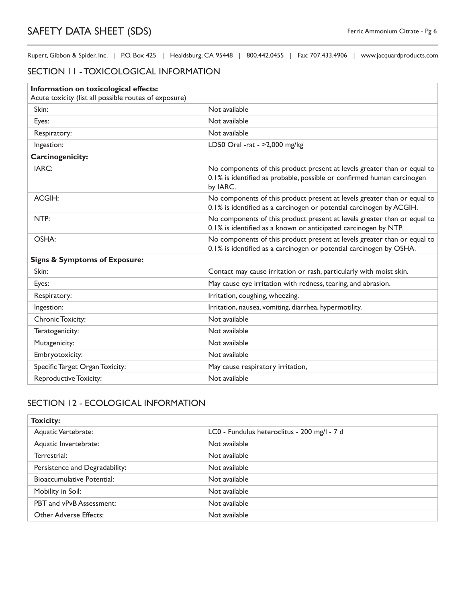### SECTION 11 - TOXICOLOGICAL INFORMATION

| Information on toxicological effects:<br>Acute toxicity (list all possible routes of exposure) |                                                                                                                                                                |
|------------------------------------------------------------------------------------------------|----------------------------------------------------------------------------------------------------------------------------------------------------------------|
| Skin:                                                                                          | Not available                                                                                                                                                  |
| Eyes:                                                                                          | Not available                                                                                                                                                  |
| Respiratory:                                                                                   | Not available                                                                                                                                                  |
| Ingestion:                                                                                     | LD50 Oral -rat - >2,000 mg/kg                                                                                                                                  |
| <b>Carcinogenicity:</b>                                                                        |                                                                                                                                                                |
| IARC:                                                                                          | No components of this product present at levels greater than or equal to<br>0.1% is identified as probable, possible or confirmed human carcinogen<br>by IARC. |
| ACGIH:                                                                                         | No components of this product present at levels greater than or equal to<br>0.1% is identified as a carcinogen or potential carcinogen by ACGIH.               |
| NTP:                                                                                           | No components of this product present at levels greater than or equal to<br>0.1% is identified as a known or anticipated carcinogen by NTP.                    |
| OSHA:                                                                                          | No components of this product present at levels greater than or equal to<br>0.1% is identified as a carcinogen or potential carcinogen by OSHA.                |
| <b>Signs &amp; Symptoms of Exposure:</b>                                                       |                                                                                                                                                                |
| Skin:                                                                                          | Contact may cause irritation or rash, particularly with moist skin.                                                                                            |
| Eyes:                                                                                          | May cause eye irritation with redness, tearing, and abrasion.                                                                                                  |
| Respiratory:                                                                                   | Irritation, coughing, wheezing.                                                                                                                                |
| Ingestion:                                                                                     | Irritation, nausea, vomiting, diarrhea, hypermotility.                                                                                                         |
| Chronic Toxicity:                                                                              | Not available                                                                                                                                                  |
| Teratogenicity:                                                                                | Not available                                                                                                                                                  |
| Mutagenicity:                                                                                  | Not available                                                                                                                                                  |
| Embryotoxicity:                                                                                | Not available                                                                                                                                                  |
| Specific Target Organ Toxicity:                                                                | May cause respiratory irritation,                                                                                                                              |
| <b>Reproductive Toxicity:</b>                                                                  | Not available                                                                                                                                                  |

## SECTION 12 - ECOLOGICAL INFORMATION

| <b>Toxicity:</b>                  |                                              |  |
|-----------------------------------|----------------------------------------------|--|
| Aquatic Vertebrate:               | LC0 - Fundulus heteroclitus - 200 mg/l - 7 d |  |
| Aquatic Invertebrate:             | Not available                                |  |
| Terrestrial:                      | Not available                                |  |
| Persistence and Degradability:    | Not available                                |  |
| <b>Bioaccumulative Potential:</b> | Not available                                |  |
| Mobility in Soil:                 | Not available                                |  |
| PBT and vPvB Assessment:          | Not available                                |  |
| <b>Other Adverse Effects:</b>     | Not available                                |  |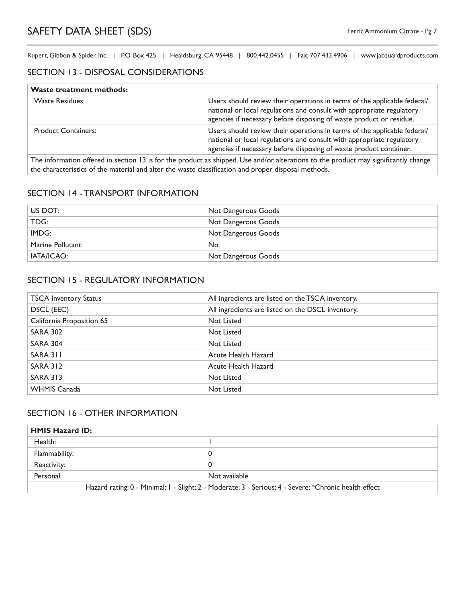### SECTION 13 - DISPOSAL CONSIDERATIONS

| <b>Waste treatment methods:</b> |                                                                                                                                                                                                                          |
|---------------------------------|--------------------------------------------------------------------------------------------------------------------------------------------------------------------------------------------------------------------------|
| <b>Waste Residues:</b>          | Users should review their operations in terms of the applicable federal/<br>national or local regulations and consult with appropriate regulatory<br>agencies if necessary before disposing of waste product or residue. |
| <b>Product Containers:</b>      | Users should review their operations in terms of the applicable federal/<br>national or local regulations and consult with appropriate regulatory<br>agencies if necessary before disposing of waste product container.  |
|                                 | The information offered in section 13 is for the product as shipped Use and/or alterations to the product may significantly shapee                                                                                       |

The information offered in section 13 is for the product as shipped. Use and/or alterations to the product may significantly change the characteristics of the material and alter the waste classification and proper disposal methods.

### SECTION 14 - TRANSPORT INFORMATION

| US DOT:           | Not Dangerous Goods |
|-------------------|---------------------|
| TDG:              | Not Dangerous Goods |
| IMDG:             | Not Dangerous Goods |
| Marine Pollutant: | <b>No</b>           |
| IATA/ICAO:        | Not Dangerous Goods |

### SECTION 15 - REGULATORY INFORMATION

| <b>TSCA Inventory Status</b> | All ingredients are listed on the TSCA inventory. |
|------------------------------|---------------------------------------------------|
| DSCL (EEC)                   | All ingredients are listed on the DSCL inventory. |
| California Proposition 65    | Not Listed                                        |
| <b>SARA 302</b>              | Not Listed                                        |
| <b>SARA 304</b>              | Not Listed                                        |
| SARA 311                     | Acute Health Hazard                               |
| <b>SARA 312</b>              | Acute Health Hazard                               |
| <b>SARA 313</b>              | Not Listed                                        |
| <b>WHMIS Canada</b>          | Not Listed                                        |

### SECTION 16 - OTHER INFORMATION

| <b>HMIS Hazard ID:</b>                                                                                |               |
|-------------------------------------------------------------------------------------------------------|---------------|
| Health:                                                                                               |               |
| Flammability:                                                                                         |               |
| Reactivity:                                                                                           |               |
| Personal:                                                                                             | Not available |
| Hazard rating: 0 - Minimal; I - Slight; 2 - Moderate; 3 - Serious; 4 - Severe; *Chronic health effect |               |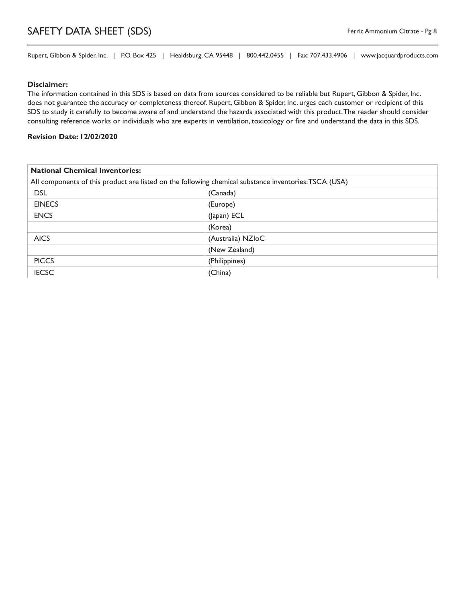# SAFETY DATA SHEET (SDS) **Ferric Ammonium Citrate - Pg 8**

Rupert, Gibbon & Spider, Inc. | P.O. Box 425 | Healdsburg, CA 95448 | 800.442.0455 | Fax: 707.433.4906 | www.jacquardproducts.com

#### **Disclaimer:**

The information contained in this SDS is based on data from sources considered to be reliable but Rupert, Gibbon & Spider, Inc. does not guarantee the accuracy or completeness thereof. Rupert, Gibbon & Spider, Inc. urges each customer or recipient of this SDS to study it carefully to become aware of and understand the hazards associated with this product. The reader should consider consulting reference works or individuals who are experts in ventilation, toxicology or fire and understand the data in this SDS.

#### **Revision Date: 12/02/2020**

| <b>National Chemical Inventories:</b>                                                                 |                   |
|-------------------------------------------------------------------------------------------------------|-------------------|
| All components of this product are listed on the following chemical substance inventories: TSCA (USA) |                   |
| <b>DSL</b><br>(Canada)                                                                                |                   |
| <b>EINECS</b>                                                                                         | (Europe)          |
| <b>ENCS</b>                                                                                           | (Japan) ECL       |
|                                                                                                       | (Korea)           |
| <b>AICS</b>                                                                                           | (Australia) NZIoC |
|                                                                                                       | (New Zealand)     |
| <b>PICCS</b>                                                                                          | (Philippines)     |
| <b>IECSC</b>                                                                                          | (China)           |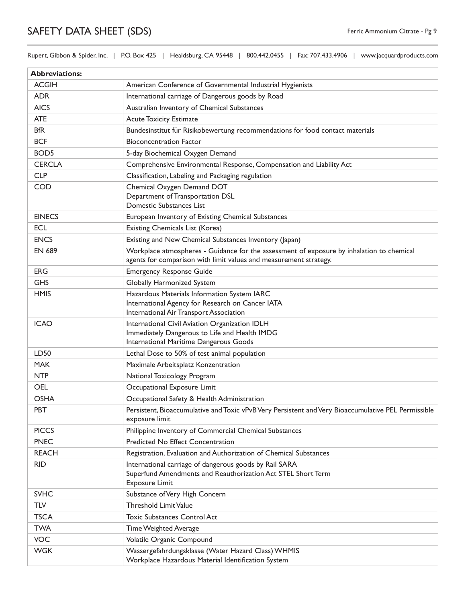# SAFETY DATA SHEET (SDS) Ferric Ammonium Citrate - Pg 9

Rupert, Gibbon & Spider, Inc. | P.O. Box 425 | Healdsburg, CA 95448 | 800.442.0455 | Fax: 707.433.4906 | www.jacquardproducts.com

| <b>Abbreviations:</b> |                                                                                                                                                                |
|-----------------------|----------------------------------------------------------------------------------------------------------------------------------------------------------------|
| <b>ACGIH</b>          | American Conference of Governmental Industrial Hygienists                                                                                                      |
| <b>ADR</b>            | International carriage of Dangerous goods by Road                                                                                                              |
| <b>AICS</b>           | Australian Inventory of Chemical Substances                                                                                                                    |
| <b>ATE</b>            | <b>Acute Toxicity Estimate</b>                                                                                                                                 |
| <b>BfR</b>            | Bundesinstitut für Risikobewertung recommendations for food contact materials                                                                                  |
| <b>BCF</b>            | <b>Bioconcentration Factor</b>                                                                                                                                 |
| BOD <sub>5</sub>      | 5-day Biochemical Oxygen Demand                                                                                                                                |
| <b>CERCLA</b>         | Comprehensive Environmental Response, Compensation and Liability Act                                                                                           |
| <b>CLP</b>            | Classification, Labeling and Packaging regulation                                                                                                              |
| <b>COD</b>            | Chemical Oxygen Demand DOT<br>Department of Transportation DSL<br>Domestic Substances List                                                                     |
| <b>EINECS</b>         | European Inventory of Existing Chemical Substances                                                                                                             |
| <b>ECL</b>            | Existing Chemicals List (Korea)                                                                                                                                |
| <b>ENCS</b>           | Existing and New Chemical Substances Inventory (Japan)                                                                                                         |
| <b>EN 689</b>         | Workplace atmospheres - Guidance for the assessment of exposure by inhalation to chemical<br>agents for comparison with limit values and measurement strategy. |
| <b>ERG</b>            | <b>Emergency Response Guide</b>                                                                                                                                |
| <b>GHS</b>            | Globally Harmonized System                                                                                                                                     |
| <b>HMIS</b>           | Hazardous Materials Information System IARC<br>International Agency for Research on Cancer IATA<br>International Air Transport Association                     |
| <b>ICAO</b>           | International Civil Aviation Organization IDLH<br>Immediately Dangerous to Life and Health IMDG<br>International Maritime Dangerous Goods                      |
| LD50                  | Lethal Dose to 50% of test animal population                                                                                                                   |
| <b>MAK</b>            | Maximale Arbeitsplatz Konzentration                                                                                                                            |
| <b>NTP</b>            | National Toxicology Program                                                                                                                                    |
| <b>OEL</b>            | Occupational Exposure Limit                                                                                                                                    |
| <b>OSHA</b>           | Occupational Safety & Health Administration                                                                                                                    |
| <b>PBT</b>            | Persistent, Bioaccumulative and Toxic vPvB Very Persistent and Very Bioaccumulative PEL Permissible<br>exposure limit                                          |
| <b>PICCS</b>          | Philippine Inventory of Commercial Chemical Substances                                                                                                         |
| <b>PNEC</b>           | Predicted No Effect Concentration                                                                                                                              |
| <b>REACH</b>          | Registration, Evaluation and Authorization of Chemical Substances                                                                                              |
| <b>RID</b>            | International carriage of dangerous goods by Rail SARA<br>Superfund Amendments and Reauthorization Act STEL Short Term<br><b>Exposure Limit</b>                |
| <b>SVHC</b>           | Substance of Very High Concern                                                                                                                                 |
| TLV                   | <b>Threshold Limit Value</b>                                                                                                                                   |
| <b>TSCA</b>           | <b>Toxic Substances Control Act</b>                                                                                                                            |
| <b>TWA</b>            | Time Weighted Average                                                                                                                                          |
| <b>VOC</b>            | Volatile Organic Compound                                                                                                                                      |
| <b>WGK</b>            | Wassergefahrdungsklasse (Water Hazard Class) WHMIS<br>Workplace Hazardous Material Identification System                                                       |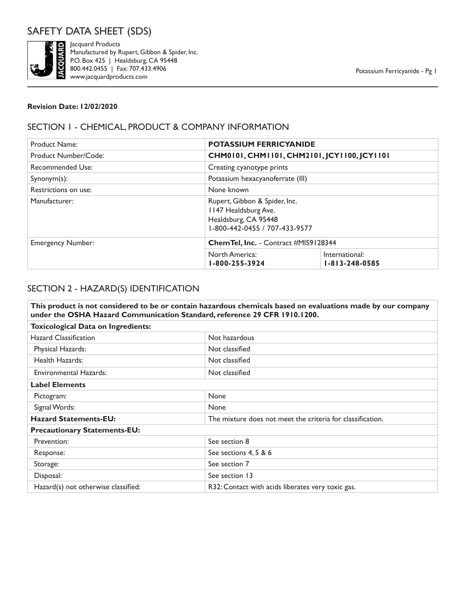# SAFETY DATA SHEET (SDS)



Fractured by Representative discussions and the Bool A42.0455 | He www.jacquardproductors. Manufactured by Rupert, Gibbon & Spider, Inc. P.O. Box 425 | Healdsburg, CA 95448 800.442.0455 | Fax: 707.433.4906 www.jacquardproducts.com

### **Revision Date: 12/02/2020**

# SECTION 1 - CHEMICAL, PRODUCT & COMPANY INFORMATION

| <b>Product Name:</b>     | <b>POTASSIUM FERRICYANIDE</b>                                                                                  |                                             |  |
|--------------------------|----------------------------------------------------------------------------------------------------------------|---------------------------------------------|--|
| Product Number/Code:     |                                                                                                                | CHM0101, CHM1101, CHM2101, JCY1100, JCY1101 |  |
| Recommended Use:         | Creating cyanotype prints                                                                                      |                                             |  |
| $Symonym(s)$ :           | Potassium hexacyanoferrate (III)                                                                               |                                             |  |
| Restrictions on use:     | None known                                                                                                     |                                             |  |
| Manufacturer:            | Rupert, Gibbon & Spider, Inc.<br>1147 Healdsburg Ave.<br>Healdsburg, CA 95448<br>1-800-442-0455 / 707-433-9577 |                                             |  |
| <b>Emergency Number:</b> | Chem Tel, Inc. - Contract #MIS9128344                                                                          |                                             |  |
|                          | North America:<br>1-800-255-3924                                                                               | International:<br>$1 - 813 - 248 - 0585$    |  |

# SECTION 2 - HAZARD(S) IDENTIFICATION

|                                                 | This product is not considered to be or contain hazardous chemicals based on evaluations made by our company<br>under the OSHA Hazard Communication Standard, reference 29 CFR 1910.1200. |  |
|-------------------------------------------------|-------------------------------------------------------------------------------------------------------------------------------------------------------------------------------------------|--|
| <b>Toxicological Data on Ingredients:</b>       |                                                                                                                                                                                           |  |
| <b>Hazard Classification</b>                    | Not hazardous                                                                                                                                                                             |  |
| Physical Hazards:                               | Not classified                                                                                                                                                                            |  |
| Health Hazards:                                 | Not classified                                                                                                                                                                            |  |
| <b>Environmental Hazards:</b><br>Not classified |                                                                                                                                                                                           |  |
| <b>Label Elements</b>                           |                                                                                                                                                                                           |  |
| Pictogram:                                      | None                                                                                                                                                                                      |  |
| Signal Words:                                   | None                                                                                                                                                                                      |  |
| <b>Hazard Statements-EU:</b>                    | The mixture does not meet the criteria for classification.                                                                                                                                |  |
| <b>Precautionary Statements-EU:</b>             |                                                                                                                                                                                           |  |
| Prevention:                                     | See section 8                                                                                                                                                                             |  |
| Response:                                       | See sections 4, 5 & 6                                                                                                                                                                     |  |
| Storage:                                        | See section 7                                                                                                                                                                             |  |
| Disposal:                                       | See section 13                                                                                                                                                                            |  |
| Hazard(s) not otherwise classified:             | R32: Contact with acids liberates very toxic gas.                                                                                                                                         |  |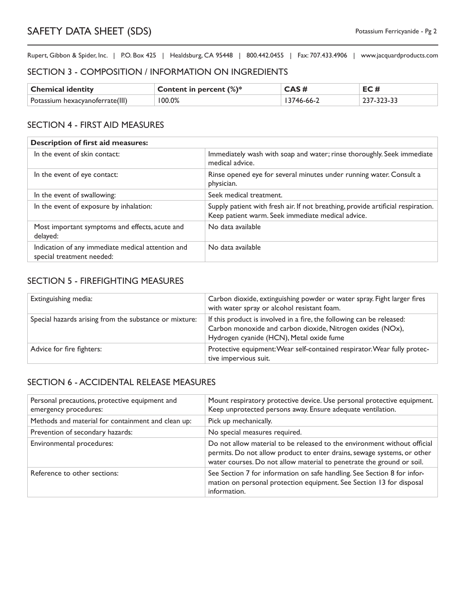### SECTION 3 - COMPOSITION / INFORMATION ON INGREDIENTS

| <b>Chemical identity</b>        | Content in percent $(\%)^*$ | CAS #     | EC#        |
|---------------------------------|-----------------------------|-----------|------------|
| Potassium hexacyanoferrate(III) | 100.0%                      | 3746-66-2 | 237-323-33 |

### SECTION 4 - FIRST AID MEASURES

| <b>Description of first aid measures:</b>                                      |                                                                                                                                       |
|--------------------------------------------------------------------------------|---------------------------------------------------------------------------------------------------------------------------------------|
| In the event of skin contact:                                                  | Immediately wash with soap and water; rinse thoroughly. Seek immediate<br>medical advice.                                             |
| In the event of eye contact:                                                   | Rinse opened eye for several minutes under running water. Consult a<br>physician.                                                     |
| In the event of swallowing:                                                    | Seek medical treatment.                                                                                                               |
| In the event of exposure by inhalation:                                        | Supply patient with fresh air. If not breathing, provide artificial respiration.<br>Keep patient warm. Seek immediate medical advice. |
| Most important symptoms and effects, acute and<br>delayed:                     | No data available                                                                                                                     |
| Indication of any immediate medical attention and<br>special treatment needed: | No data available                                                                                                                     |

### SECTION 5 - FIREFIGHTING MEASURES

| Extinguishing media:                                   | Carbon dioxide, extinguishing powder or water spray. Fight larger fires<br>with water spray or alcohol resistant foam.                                                          |
|--------------------------------------------------------|---------------------------------------------------------------------------------------------------------------------------------------------------------------------------------|
| Special hazards arising from the substance or mixture: | If this product is involved in a fire, the following can be released:<br>Carbon monoxide and carbon dioxide, Nitrogen oxides (NOx),<br>Hydrogen cyanide (HCN), Metal oxide fume |
| Advice for fire fighters:                              | Protective equipment: Wear self-contained respirator. Wear fully protec-<br>tive impervious suit.                                                                               |

### SECTION 6 - ACCIDENTAL RELEASE MEASURES

| Personal precautions, protective equipment and<br>emergency procedures: | Mount respiratory protective device. Use personal protective equipment.<br>Keep unprotected persons away. Ensure adequate ventilation.                                                                                       |
|-------------------------------------------------------------------------|------------------------------------------------------------------------------------------------------------------------------------------------------------------------------------------------------------------------------|
| Methods and material for containment and clean up:                      | Pick up mechanically.                                                                                                                                                                                                        |
| Prevention of secondary hazards:                                        | No special measures required.                                                                                                                                                                                                |
| Environmental procedures:                                               | Do not allow material to be released to the environment without official<br>permits. Do not allow product to enter drains, sewage systems, or other<br>water courses. Do not allow material to penetrate the ground or soil. |
| Reference to other sections:                                            | See Section 7 for information on safe handling. See Section 8 for infor-<br>mation on personal protection equipment. See Section 13 for disposal<br>information.                                                             |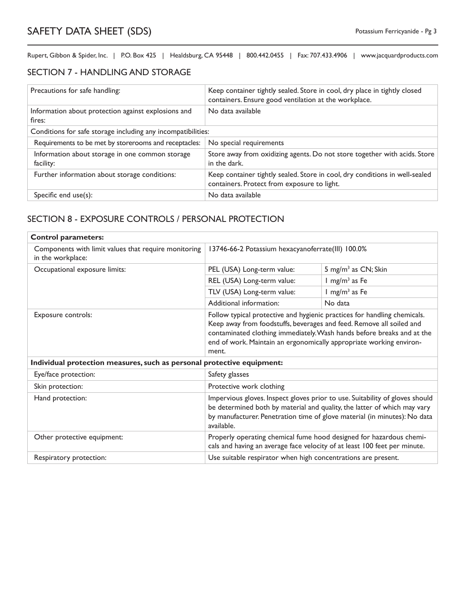## SECTION 7 - HANDLING AND STORAGE

| Precautions for safe handling:                                | Keep container tightly sealed. Store in cool, dry place in tightly closed<br>containers. Ensure good ventilation at the workplace. |  |
|---------------------------------------------------------------|------------------------------------------------------------------------------------------------------------------------------------|--|
| Information about protection against explosions and<br>fires: | No data available                                                                                                                  |  |
| Conditions for safe storage including any incompatibilities:  |                                                                                                                                    |  |
| Requirements to be met by storerooms and receptacles:         | No special requirements                                                                                                            |  |
| Information about storage in one common storage<br>facility:  | Store away from oxidizing agents. Do not store together with acids. Store<br>in the dark.                                          |  |
| Further information about storage conditions:                 | Keep container tightly sealed. Store in cool, dry conditions in well-sealed<br>containers. Protect from exposure to light.         |  |
| Specific end $use(s)$ :                                       | No data available                                                                                                                  |  |

## SECTION 8 - EXPOSURE CONTROLS / PERSONAL PROTECTION

| <b>Control parameters:</b>                                                |                                                                                                                                                                                                                                                                                                            |                                 |
|---------------------------------------------------------------------------|------------------------------------------------------------------------------------------------------------------------------------------------------------------------------------------------------------------------------------------------------------------------------------------------------------|---------------------------------|
| Components with limit values that require monitoring<br>in the workplace: | 13746-66-2 Potassium hexacyanoferrate(III) 100.0%                                                                                                                                                                                                                                                          |                                 |
| Occupational exposure limits:                                             | PEL (USA) Long-term value:                                                                                                                                                                                                                                                                                 | 5 mg/m <sup>3</sup> as CN; Skin |
|                                                                           | REL (USA) Long-term value:                                                                                                                                                                                                                                                                                 | $1 \text{ mg/m}^3$ as Fe        |
|                                                                           | TLV (USA) Long-term value:                                                                                                                                                                                                                                                                                 | $1$ mg/m <sup>3</sup> as Fe     |
|                                                                           | Additional information:                                                                                                                                                                                                                                                                                    | No data                         |
| Exposure controls:                                                        | Follow typical protective and hygienic practices for handling chemicals.<br>Keep away from foodstuffs, beverages and feed. Remove all soiled and<br>contaminated clothing immediately. Wash hands before breaks and at the<br>end of work. Maintain an ergonomically appropriate working environ-<br>ment. |                                 |
| Individual protection measures, such as personal protective equipment:    |                                                                                                                                                                                                                                                                                                            |                                 |
| Eye/face protection:                                                      | Safety glasses                                                                                                                                                                                                                                                                                             |                                 |
| Skin protection:                                                          | Protective work clothing                                                                                                                                                                                                                                                                                   |                                 |
| Hand protection:                                                          | Impervious gloves. Inspect gloves prior to use. Suitability of gloves should<br>be determined both by material and quality, the latter of which may vary<br>by manufacturer. Penetration time of glove material (in minutes): No data<br>available.                                                        |                                 |
| Other protective equipment:                                               | Properly operating chemical fume hood designed for hazardous chemi-<br>cals and having an average face velocity of at least 100 feet per minute.                                                                                                                                                           |                                 |
| Respiratory protection:                                                   | Use suitable respirator when high concentrations are present.                                                                                                                                                                                                                                              |                                 |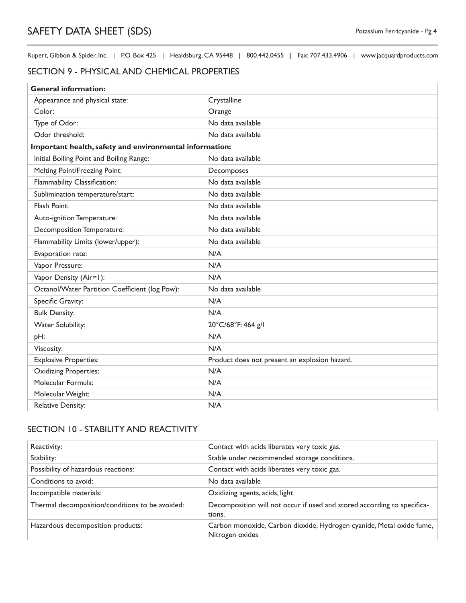### SECTION 9 - PHYSICAL AND CHEMICAL PROPERTIES

| <b>General information:</b>                             |                                               |  |
|---------------------------------------------------------|-----------------------------------------------|--|
| Appearance and physical state:                          | Crystalline                                   |  |
| Color:                                                  | Orange                                        |  |
| Type of Odor:                                           | No data available                             |  |
| Odor threshold:                                         | No data available                             |  |
| Important health, safety and environmental information: |                                               |  |
| Initial Boiling Point and Boiling Range:                | No data available                             |  |
| Melting Point/Freezing Point:                           | Decomposes                                    |  |
| Flammability Classification:                            | No data available                             |  |
| Sublimination temperature/start:                        | No data available                             |  |
| Flash Point:                                            | No data available                             |  |
| Auto-ignition Temperature:                              | No data available                             |  |
| Decomposition Temperature:                              | No data available                             |  |
| Flammability Limits (lower/upper):                      | No data available                             |  |
| Evaporation rate:                                       | N/A                                           |  |
| Vapor Pressure:                                         | N/A                                           |  |
| Vapor Density (Air=1):                                  | N/A                                           |  |
| Octanol/Water Partition Coefficient (log Pow):          | No data available                             |  |
| Specific Gravity:                                       | N/A                                           |  |
| <b>Bulk Density:</b>                                    | N/A                                           |  |
| <b>Water Solubility:</b>                                | 20°C/68°F: 464 g/l                            |  |
| pH:                                                     | N/A                                           |  |
| Viscosity:                                              | N/A                                           |  |
| <b>Explosive Properties:</b>                            | Product does not present an explosion hazard. |  |
| <b>Oxidizing Properties:</b>                            | N/A                                           |  |
| Molecular Formula:                                      | N/A                                           |  |
| Molecular Weight:                                       | N/A                                           |  |
| <b>Relative Density:</b>                                | N/A                                           |  |

## SECTION 10 - STABILITY AND REACTIVITY

| Reactivity:                                     | Contact with acids liberates very toxic gas.                                            |
|-------------------------------------------------|-----------------------------------------------------------------------------------------|
| Stability:                                      | Stable under recommended storage conditions.                                            |
| Possibility of hazardous reactions:             | Contact with acids liberates very toxic gas.                                            |
| Conditions to avoid:                            | No data available                                                                       |
| Incompatible materials:                         | Oxidizing agents, acids, light                                                          |
| Thermal decomposition/conditions to be avoided: | Decomposition will not occur if used and stored according to specifica-<br>tions.       |
| Hazardous decomposition products:               | Carbon monoxide, Carbon dioxide, Hydrogen cyanide, Metal oxide fume,<br>Nitrogen oxides |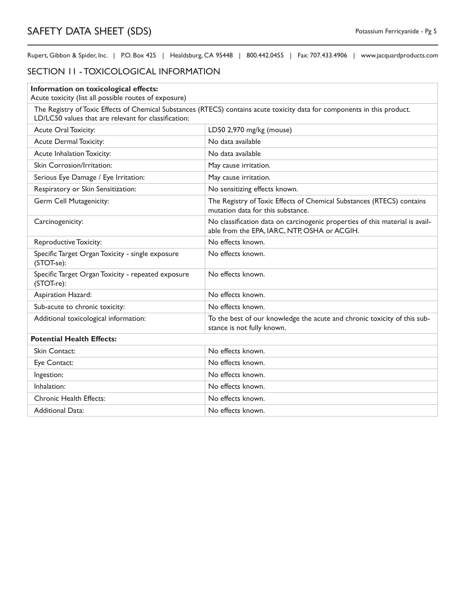## SECTION 11 - TOXICOLOGICAL INFORMATION

| Information on toxicological effects:                                                                                                                                             |                                                                                                                              |  |
|-----------------------------------------------------------------------------------------------------------------------------------------------------------------------------------|------------------------------------------------------------------------------------------------------------------------------|--|
| Acute toxicity (list all possible routes of exposure)                                                                                                                             |                                                                                                                              |  |
| The Registry of Toxic Effects of Chemical Substances (RTECS) contains acute toxicity data for components in this product.<br>LD/LC50 values that are relevant for classification: |                                                                                                                              |  |
| Acute Oral Toxicity:                                                                                                                                                              | LD50 2,970 mg/kg (mouse)                                                                                                     |  |
| <b>Acute Dermal Toxicity:</b>                                                                                                                                                     | No data available                                                                                                            |  |
| Acute Inhalation Toxicity:                                                                                                                                                        | No data available                                                                                                            |  |
| Skin Corrosion/Irritation:                                                                                                                                                        | May cause irritation.                                                                                                        |  |
| Serious Eye Damage / Eye Irritation:                                                                                                                                              | May cause irritation.                                                                                                        |  |
| Respiratory or Skin Sensitization:                                                                                                                                                | No sensitizing effects known.                                                                                                |  |
| Germ Cell Mutagenicity:                                                                                                                                                           | The Registry of Toxic Effects of Chemical Substances (RTECS) contains<br>mutation data for this substance.                   |  |
| Carcinogenicity:                                                                                                                                                                  | No classification data on carcinogenic properties of this material is avail-<br>able from the EPA, IARC, NTP, OSHA or ACGIH. |  |
| <b>Reproductive Toxicity:</b>                                                                                                                                                     | No effects known.                                                                                                            |  |
| Specific Target Organ Toxicity - single exposure<br>(STOT-se):                                                                                                                    | No effects known.                                                                                                            |  |
| Specific Target Organ Toxicity - repeated exposure<br>(STOT-re):                                                                                                                  | No effects known.                                                                                                            |  |
| Aspiration Hazard:                                                                                                                                                                | No effects known.                                                                                                            |  |
| Sub-acute to chronic toxicity:                                                                                                                                                    | No effects known.                                                                                                            |  |
| Additional toxicological information:                                                                                                                                             | To the best of our knowledge the acute and chronic toxicity of this sub-<br>stance is not fully known.                       |  |
| <b>Potential Health Effects:</b>                                                                                                                                                  |                                                                                                                              |  |
| Skin Contact:                                                                                                                                                                     | No effects known.                                                                                                            |  |
| Eye Contact:                                                                                                                                                                      | No effects known.                                                                                                            |  |
| Ingestion:                                                                                                                                                                        | No effects known.                                                                                                            |  |
| Inhalation:                                                                                                                                                                       | No effects known.                                                                                                            |  |
| <b>Chronic Health Effects:</b>                                                                                                                                                    | No effects known.                                                                                                            |  |
| <b>Additional Data:</b>                                                                                                                                                           | No effects known.                                                                                                            |  |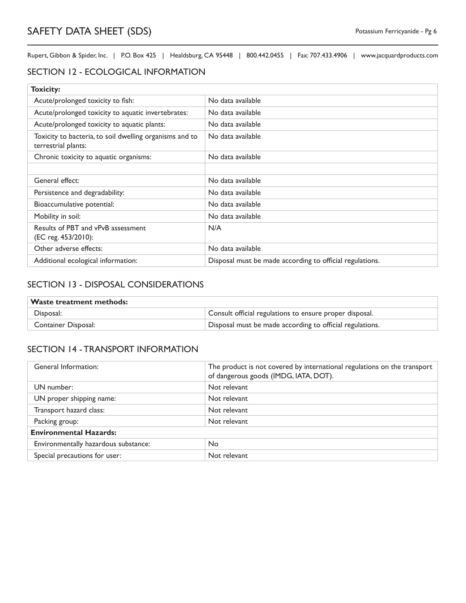### SECTION 12 - ECOLOGICAL INFORMATION

| <b>Toxicity:</b>                                                               |                                                          |
|--------------------------------------------------------------------------------|----------------------------------------------------------|
| Acute/prolonged toxicity to fish:                                              | No data available                                        |
| Acute/prolonged toxicity to aquatic invertebrates:                             | No data available                                        |
| Acute/prolonged toxicity to aquatic plants:                                    | No data available                                        |
| Toxicity to bacteria, to soil dwelling organisms and to<br>terrestrial plants: | No data available                                        |
| Chronic toxicity to aquatic organisms:                                         | No data available                                        |
|                                                                                |                                                          |
| General effect:                                                                | No data available                                        |
| Persistence and degradability:                                                 | No data available                                        |
| Bioaccumulative potential:                                                     | No data available                                        |
| Mobility in soil:                                                              | No data available                                        |
| Results of PBT and vPvB assessment<br>(EC reg. 453/2010):                      | N/A                                                      |
| Other adverse effects:                                                         | No data available                                        |
| Additional ecological information:                                             | Disposal must be made according to official regulations. |

### SECTION 13 - DISPOSAL CONSIDERATIONS

| <b>Waste treatment methods:</b> |                                                          |
|---------------------------------|----------------------------------------------------------|
| Disposal:                       | Consult official regulations to ensure proper disposal.  |
| Container Disposal:             | Disposal must be made according to official regulations. |

### SECTION 14 - TRANSPORT INFORMATION

| General Information:                 | The product is not covered by international regulations on the transport<br>of dangerous goods (IMDG, IATA, DOT). |
|--------------------------------------|-------------------------------------------------------------------------------------------------------------------|
| UN number:                           | Not relevant                                                                                                      |
| UN proper shipping name:             | Not relevant                                                                                                      |
| Transport hazard class:              | Not relevant                                                                                                      |
| Packing group:                       | Not relevant                                                                                                      |
| <b>Environmental Hazards:</b>        |                                                                                                                   |
| Environmentally hazardous substance: | <b>No</b>                                                                                                         |
| Special precautions for user:        | Not relevant                                                                                                      |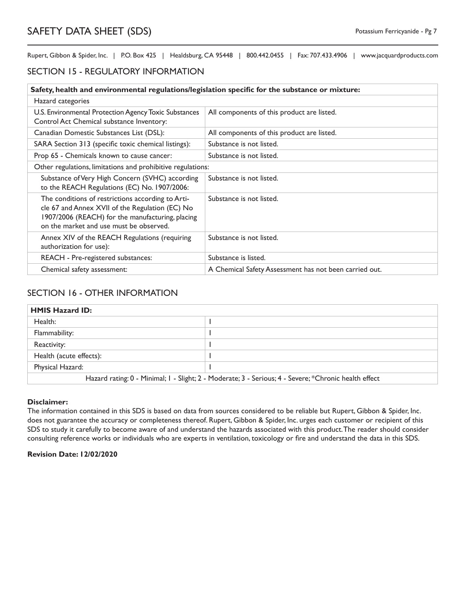### SECTION 15 - REGULATORY INFORMATION

| Safety, health and environmental regulations/legislation specific for the substance or mixture:                                                                                                     |                                                        |  |
|-----------------------------------------------------------------------------------------------------------------------------------------------------------------------------------------------------|--------------------------------------------------------|--|
| Hazard categories                                                                                                                                                                                   |                                                        |  |
| U.S. Environmental Protection Agency Toxic Substances<br>Control Act Chemical substance Inventory:                                                                                                  | All components of this product are listed.             |  |
| Canadian Domestic Substances List (DSL):                                                                                                                                                            | All components of this product are listed.             |  |
| SARA Section 313 (specific toxic chemical listings):                                                                                                                                                | Substance is not listed.                               |  |
| Prop 65 - Chemicals known to cause cancer:                                                                                                                                                          | Substance is not listed.                               |  |
| Other regulations, limitations and prohibitive regulations:                                                                                                                                         |                                                        |  |
| Substance of Very High Concern (SVHC) according<br>to the REACH Regulations (EC) No. 1907/2006:                                                                                                     | Substance is not listed.                               |  |
| The conditions of restrictions according to Arti-<br>cle 67 and Annex XVII of the Regulation (EC) No<br>1907/2006 (REACH) for the manufacturing, placing<br>on the market and use must be observed. | Substance is not listed.                               |  |
| Annex XIV of the REACH Regulations (requiring<br>authorization for use):                                                                                                                            | Substance is not listed.                               |  |
| REACH - Pre-registered substances:                                                                                                                                                                  | Substance is listed.                                   |  |
| Chemical safety assessment:                                                                                                                                                                         | A Chemical Safety Assessment has not been carried out. |  |

### SECTION 16 - OTHER INFORMATION

| <b>HMIS Hazard ID:</b>                                                                                |  |
|-------------------------------------------------------------------------------------------------------|--|
| Health:                                                                                               |  |
| Flammability:                                                                                         |  |
| Reactivity:                                                                                           |  |
| Health (acute effects):                                                                               |  |
| Physical Hazard:                                                                                      |  |
| Hazard rating: 0 - Minimal; 1 - Slight; 2 - Moderate; 3 - Serious; 4 - Severe; *Chronic health effect |  |

#### **Disclaimer:**

The information contained in this SDS is based on data from sources considered to be reliable but Rupert, Gibbon & Spider, Inc. does not guarantee the accuracy or completeness thereof. Rupert, Gibbon & Spider, Inc. urges each customer or recipient of this SDS to study it carefully to become aware of and understand the hazards associated with this product. The reader should consider consulting reference works or individuals who are experts in ventilation, toxicology or fire and understand the data in this SDS.

#### **Revision Date: 12/02/2020**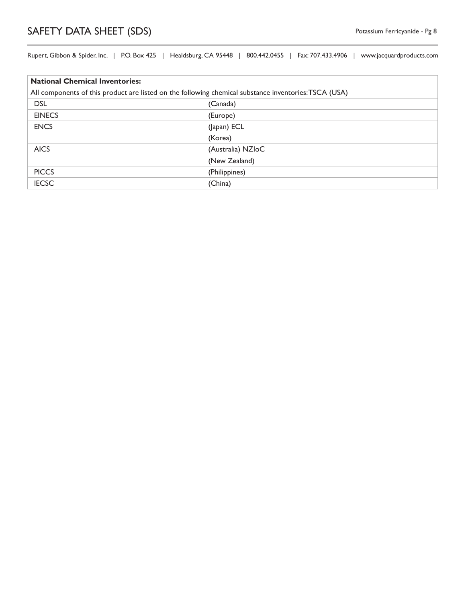| <b>National Chemical Inventories:</b>                                                                 |                   |
|-------------------------------------------------------------------------------------------------------|-------------------|
| All components of this product are listed on the following chemical substance inventories: TSCA (USA) |                   |
| <b>DSL</b>                                                                                            | (Canada)          |
| <b>EINECS</b>                                                                                         | (Europe)          |
| <b>ENCS</b>                                                                                           | (Japan) ECL       |
|                                                                                                       | (Korea)           |
| <b>AICS</b>                                                                                           | (Australia) NZIoC |
|                                                                                                       | (New Zealand)     |
| <b>PICCS</b>                                                                                          | (Philippines)     |
| <b>IECSC</b>                                                                                          | (China)           |